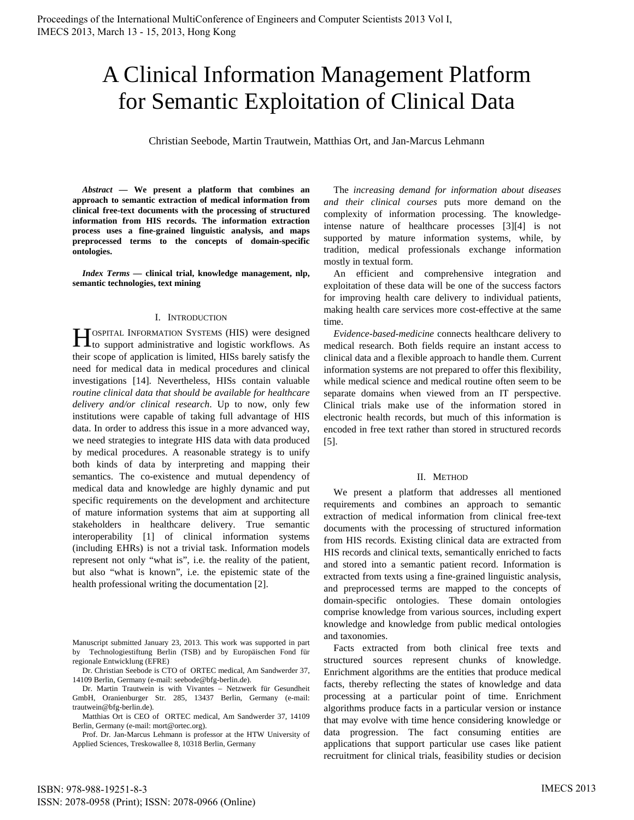# A Clinical Information Management Platform for Semantic Exploitation of Clinical Data

Christian Seebode, Martin Trautwein, Matthias Ort, and Jan-Marcus Lehmann

*Abstract* **— We present a platform that combines an approach to semantic extraction of medical information from clinical free-text documents with the processing of structured information from HIS records. The information extraction process uses a fine-grained linguistic analysis, and maps preprocessed terms to the concepts of domain-specific ontologies.** 

*Index Terms* **— clinical trial, knowledge management, nlp, semantic technologies, text mining** 

### I. INTRODUCTION

OSPITAL INFORMATION SYSTEMS (HIS) were designed **the SET AL EXECUTE INFORMATION SYSTEMS (HIS)** were designed to support administrative and logistic workflows. As their scope of application is limited, HISs barely satisfy the need for medical data in medical procedures and clinical investigations [14]. Nevertheless, HISs contain valuable *routine clinical data that should be available for healthcare delivery and/or clinical research*. Up to now, only few institutions were capable of taking full advantage of HIS data. In order to address this issue in a more advanced way, we need strategies to integrate HIS data with data produced by medical procedures. A reasonable strategy is to unify both kinds of data by interpreting and mapping their semantics. The co-existence and mutual dependency of medical data and knowledge are highly dynamic and put specific requirements on the development and architecture of mature information systems that aim at supporting all stakeholders in healthcare delivery. True semantic interoperability [1] of clinical information systems (including EHRs) is not a trivial task. Information models represent not only "what is", i.e. the reality of the patient, but also "what is known", i.e. the epistemic state of the health professional writing the documentation [2].

Manuscript submitted January 23, 2013. This work was supported in part by Technologiestiftung Berlin (TSB) and by Europäischen Fond für regionale Entwicklung (EFRE)

Dr. Christian Seebode is CTO of ORTEC medical, Am Sandwerder 37, 14109 Berlin, Germany (e-mail: seebode@bfg-berlin.de).

Dr. Martin Trautwein is with Vivantes – Netzwerk für Gesundheit GmbH, Oranienburger Str. 285, 13437 Berlin, Germany (e-mail: trautwein@bfg-berlin.de).

Matthias Ort is CEO of ORTEC medical, Am Sandwerder 37, 14109 Berlin, Germany (e-mail: mort@ortec.org).

Prof. Dr. Jan-Marcus Lehmann is professor at the HTW University of Applied Sciences, Treskowallee 8, 10318 Berlin, Germany

ISBN: 978-988-19251-8-3 ISSN: 2078-0958 (Print); ISSN: 2078-0966 (Online)

The *increasing demand for information about diseases and their clinical courses* puts more demand on the complexity of information processing. The knowledgeintense nature of healthcare processes [3][4] is not supported by mature information systems, while, by tradition, medical professionals exchange information mostly in textual form.

An efficient and comprehensive integration and exploitation of these data will be one of the success factors for improving health care delivery to individual patients, making health care services more cost-effective at the same time.

*Evidence-based-medicine* connects healthcare delivery to medical research. Both fields require an instant access to clinical data and a flexible approach to handle them. Current information systems are not prepared to offer this flexibility, while medical science and medical routine often seem to be separate domains when viewed from an IT perspective. Clinical trials make use of the information stored in electronic health records, but much of this information is encoded in free text rather than stored in structured records [5].

## II. METHOD

We present a platform that addresses all mentioned requirements and combines an approach to semantic extraction of medical information from clinical free-text documents with the processing of structured information from HIS records. Existing clinical data are extracted from HIS records and clinical texts, semantically enriched to facts and stored into a semantic patient record. Information is extracted from texts using a fine-grained linguistic analysis, and preprocessed terms are mapped to the concepts of domain-specific ontologies. These domain ontologies comprise knowledge from various sources, including expert knowledge and knowledge from public medical ontologies and taxonomies.

Facts extracted from both clinical free texts and structured sources represent chunks of knowledge. Enrichment algorithms are the entities that produce medical facts, thereby reflecting the states of knowledge and data processing at a particular point of time. Enrichment algorithms produce facts in a particular version or instance that may evolve with time hence considering knowledge or data progression. The fact consuming entities are applications that support particular use cases like patient recruitment for clinical trials, feasibility studies or decision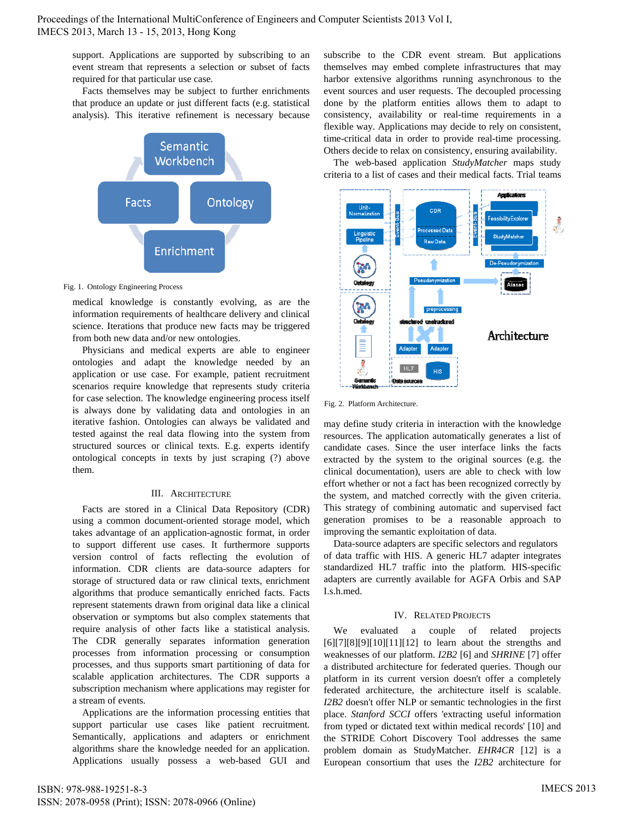support. Applications are supported by subscribing to an event stream that represents a selection or subset of facts required for that particular use case.

Facts themselves may be subject to further enrichments that produce an update or just different facts (e.g. statistical analysis). This iterative refinement is necessary because



Fig. 1. Ontology Engineering Process

medical knowledge is constantly evolving, as are the information requirements of healthcare delivery and clinical science. Iterations that produce new facts may be triggered from both new data and/or new ontologies.

Physicians and medical experts are able to engineer ontologies and adapt the knowledge needed by an application or use case. For example, patient recruitment scenarios require knowledge that represents study criteria for case selection. The knowledge engineering process itself is always done by validating data and ontologies in an iterative fashion. Ontologies can always be validated and tested against the real data flowing into the system from structured sources or clinical texts. E.g. experts identify ontological concepts in texts by just scraping (?) above them.

# III. ARCHITECTURE

Facts are stored in a Clinical Data Repository (CDR) using a common document-oriented storage model, which takes advantage of an application-agnostic format, in order to support different use cases. It furthermore supports version control of facts reflecting the evolution of information. CDR clients are data-source adapters for storage of structured data or raw clinical texts, enrichment algorithms that produce semantically enriched facts. Facts represent statements drawn from original data like a clinical observation or symptoms but also complex statements that require analysis of other facts like a statistical analysis. The CDR generally separates information generation processes from information processing or consumption processes, and thus supports smart partitioning of data for scalable application architectures. The CDR supports a subscription mechanism where applications may register for a stream of events.

Applications are the information processing entities that support particular use cases like patient recruitment. Semantically, applications and adapters or enrichment algorithms share the knowledge needed for an application. Applications usually possess a web-based GUI and subscribe to the CDR event stream. But applications themselves may embed complete infrastructures that may harbor extensive algorithms running asynchronous to the event sources and user requests. The decoupled processing done by the platform entities allows them to adapt to consistency, availability or real-time requirements in a flexible way. Applications may decide to rely on consistent, time-critical data in order to provide real-time processing. Others decide to relax on consistency, ensuring availability.

The web-based application *StudyMatcher* maps study criteria to a list of cases and their medical facts. Trial teams



Fig. 2. Platform Architecture.

may define study criteria in interaction with the knowledge resources. The application automatically generates a list of candidate cases. Since the user interface links the facts extracted by the system to the original sources (e.g. the clinical documentation), users are able to check with low effort whether or not a fact has been recognized correctly by the system, and matched correctly with the given criteria. This strategy of combining automatic and supervised fact generation promises to be a reasonable approach to improving the semantic exploitation of data.

Data-source adapters are specific selectors and regulators of data traffic with HIS. A generic HL7 adapter integrates standardized HL7 traffic into the platform. HIS-specific adapters are currently available for AGFA Orbis and SAP I.s.h.med.

# IV. RELATED PROJECTS

We evaluated a couple of related projects  $[6][7][8][9][10][11][12]$  to learn about the strengths and weaknesses of our platform. *I2B2* [6] and *SHRINE* [7] offer a distributed architecture for federated queries. Though our platform in its current version doesn't offer a completely federated architecture, the architecture itself is scalable. *I2B2* doesn't offer NLP or semantic technologies in the first place. *Stanford SCCI* offers 'extracting useful information from typed or dictated text within medical records' [10] and the STRIDE Cohort Discovery Tool addresses the same problem domain as StudyMatcher. *EHR4CR* [12] is a European consortium that uses the *I2B2* architecture for